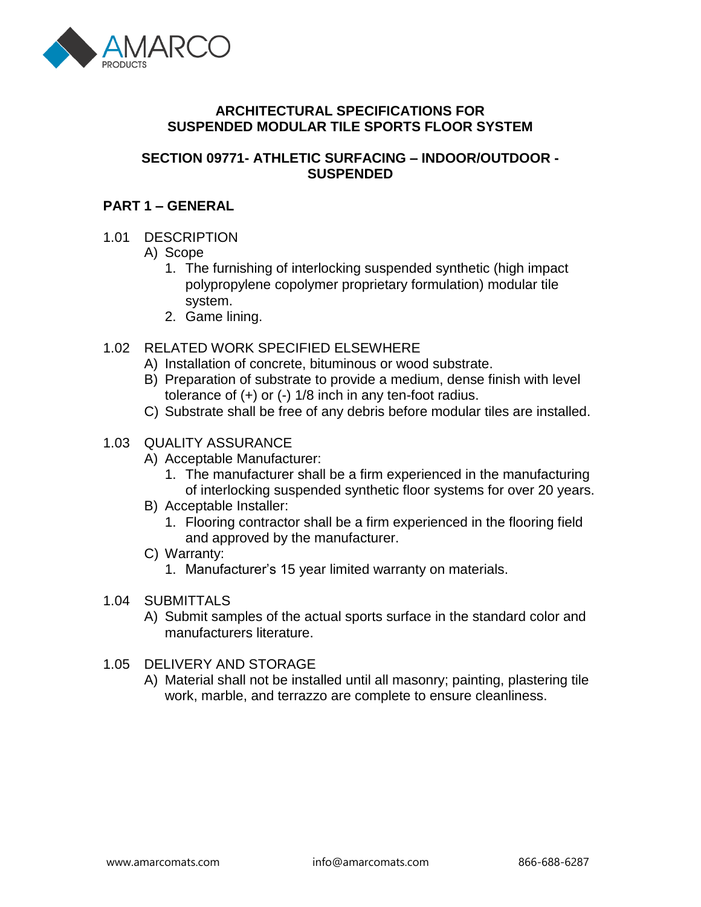

## **ARCHITECTURAL SPECIFICATIONS FOR SUSPENDED MODULAR TILE SPORTS FLOOR SYSTEM**

### **SECTION 09771- ATHLETIC SURFACING – INDOOR/OUTDOOR - SUSPENDED**

## **PART 1 – GENERAL**

#### 1.01 DESCRIPTION

- A) Scope
	- 1. The furnishing of interlocking suspended synthetic (high impact polypropylene copolymer proprietary formulation) modular tile system.
	- 2. Game lining.
- 1.02 RELATED WORK SPECIFIED ELSEWHERE
	- A) Installation of concrete, bituminous or wood substrate.
	- B) Preparation of substrate to provide a medium, dense finish with level tolerance of (+) or (-) 1/8 inch in any ten-foot radius.
	- C) Substrate shall be free of any debris before modular tiles are installed.
- 1.03 QUALITY ASSURANCE
	- A) Acceptable Manufacturer:
		- 1. The manufacturer shall be a firm experienced in the manufacturing of interlocking suspended synthetic floor systems for over 20 years.
	- B) Acceptable Installer:
		- 1. Flooring contractor shall be a firm experienced in the flooring field and approved by the manufacturer.
	- C) Warranty:
		- 1. Manufacturer's 15 year limited warranty on materials.
- 1.04 SUBMITTALS
	- A) Submit samples of the actual sports surface in the standard color and manufacturers literature.

#### 1.05 DELIVERY AND STORAGE

A) Material shall not be installed until all masonry; painting, plastering tile work, marble, and terrazzo are complete to ensure cleanliness.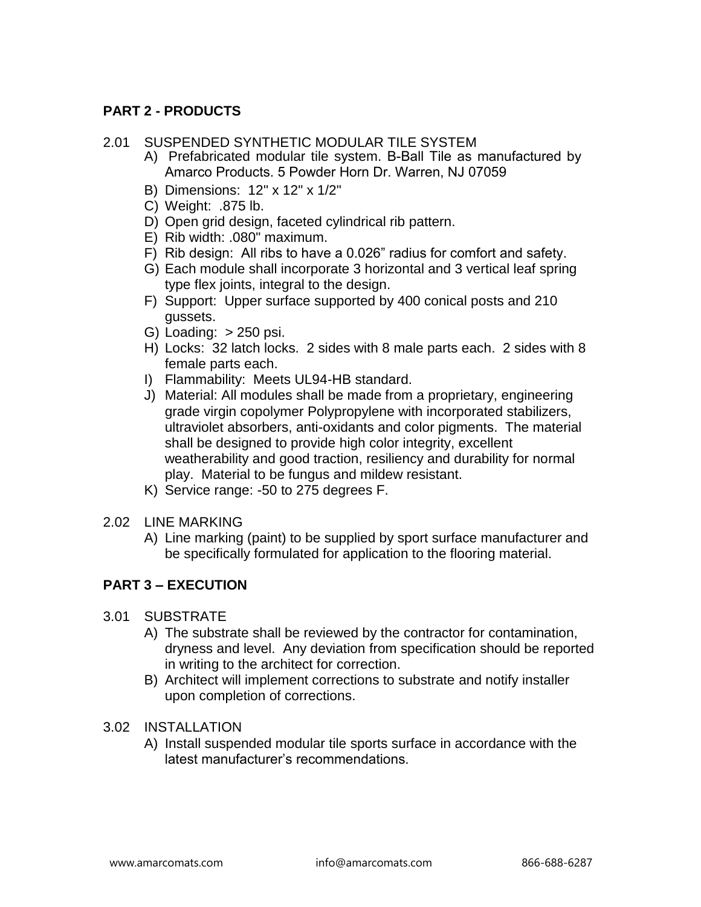# **PART 2 - PRODUCTS**

#### 2.01 SUSPENDED SYNTHETIC MODULAR TILE SYSTEM

- A) Prefabricated modular tile system. B-Ball Tile as manufactured by Amarco Products. 5 Powder Horn Dr. Warren, NJ 07059
- B) Dimensions: 12" x 12" x 1/2"
- C) Weight: .875 lb.
- D) Open grid design, faceted cylindrical rib pattern.
- E) Rib width: .080" maximum.
- F) Rib design: All ribs to have a 0.026" radius for comfort and safety.
- type flex joints, integral to the design. G) Each module shall incorporate 3 horizontal and 3 vertical leaf spring
- F) Support: Upper surface supported by 400 conical posts and 210 gussets.
- G) Loading:  $> 250$  psi.
- H) Locks: 32 latch locks. 2 sides with 8 male parts each. 2 sides with 8 female parts each.
- I) Flammability: Meets UL94-HB standard.
- J) Material: All modules shall be made from a proprietary, engineering grade virgin copolymer Polypropylene with incorporated stabilizers, ultraviolet absorbers, anti-oxidants and color pigments. The material shall be designed to provide high color integrity, excellent weatherability and good traction, resiliency and durability for normal play. Material to be fungus and mildew resistant.
- K) Service range: -50 to 275 degrees F.
- 2.02 LINE MARKING
	- A) Line marking (paint) to be supplied by sport surface manufacturer and be specifically formulated for application to the flooring material.

## **PART 3 – EXECUTION**

- 3.01 SUBSTRATE
	- A) The substrate shall be reviewed by the contractor for contamination, dryness and level. Any deviation from specification should be reported in writing to the architect for correction.
	- B) Architect will implement corrections to substrate and notify installer upon completion of corrections.
- 3.02 INSTALLATION
	- A) Install suspended modular tile sports surface in accordance with the latest manufacturer's recommendations.